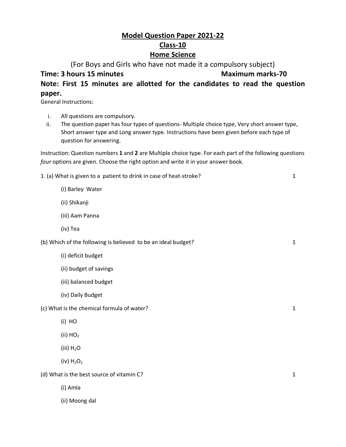## **Model Question Paper 2021-22 Class-10 Home Science**

(For Boys and Girls who have not made it a compulsory subject)

**Time: 3 hours 15 minutes Maximum marks-70 Note: First 15 minutes are allotted for the candidates to read the question paper.**

General Instructions:

- i. All questions are compulsory.
- ii. The question paper has four types of questions- Multiple choice type, Very short answer type, Short answer type and Long answer type. Instructions have been given before each type of question for answering.

Instruction: Question numbers **1** and **2** are Multiple choice type. For each part of the following questions *four* options are given. Choose the right option and write it in your answer book.

1. (a) What is given to a patient to drink in case of heat-stroke? 1

(i) Barley Water

(ii) Shikanji

(iii) Aam Panna

(iv) Tea

(b) Which of the following is believed to be an ideal budget? 1

- (i) deficit budget
- (ii) budget of savings
- (iii) balanced budget
- (iv) Daily Budget

(c) What is the chemical formula of water? 1

(i) HO

(ii)  $HO<sub>2</sub>$ 

(iii)  $H_2O$ 

(iv)  $H_2O_2$ 

(d) What is the best source of vitamin C? 1

(i) Amla

(ii) Moong dal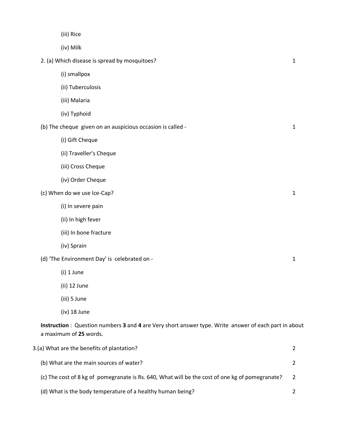| (iii) Rice                                                                                                                     |                |
|--------------------------------------------------------------------------------------------------------------------------------|----------------|
| (iv) Milk                                                                                                                      |                |
| 2. (a) Which disease is spread by mosquitoes?                                                                                  | 1              |
| (i) smallpox                                                                                                                   |                |
| (ii) Tuberculosis                                                                                                              |                |
| (iii) Malaria                                                                                                                  |                |
| (iv) Typhoid                                                                                                                   |                |
| (b) The cheque given on an auspicious occasion is called -                                                                     | 1              |
| (i) Gift Cheque                                                                                                                |                |
| (ii) Traveller's Cheque                                                                                                        |                |
| (iii) Cross Cheque                                                                                                             |                |
| (iv) Order Cheque                                                                                                              |                |
| (c) When do we use Ice-Cap?                                                                                                    | $\mathbf{1}$   |
| (i) In severe pain                                                                                                             |                |
| (ii) In high fever                                                                                                             |                |
| (iii) In bone fracture                                                                                                         |                |
| (iv) Sprain                                                                                                                    |                |
| (d) 'The Environment Day' is celebrated on -                                                                                   | 1              |
| (i) 1 June                                                                                                                     |                |
| (ii) 12 June                                                                                                                   |                |
| (iii) 5 June                                                                                                                   |                |
| (iv) 18 June                                                                                                                   |                |
| Instruction: Question numbers 3 and 4 are Very short answer type. Write answer of each part in about<br>a maximum of 25 words. |                |
| 3.(a) What are the benefits of plantation?                                                                                     | 2              |
| (b) What are the main sources of water?                                                                                        | 2              |
| (c) The cost of 8 kg of pomegranate is Rs. 640, What will be the cost of one kg of pomegranate?                                | 2              |
| (d) What is the body temperature of a healthy human being?                                                                     | $\overline{2}$ |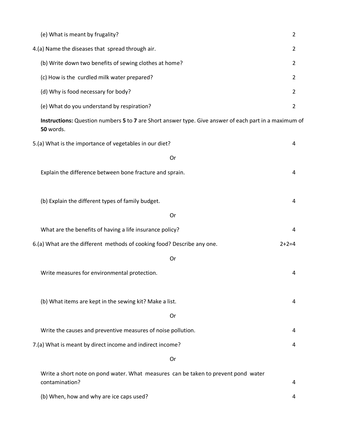| (e) What is meant by frugality?                                                                                    | 2       |
|--------------------------------------------------------------------------------------------------------------------|---------|
| 4.(a) Name the diseases that spread through air.                                                                   |         |
| (b) Write down two benefits of sewing clothes at home?                                                             | 2       |
| (c) How is the curdled milk water prepared?                                                                        | 2       |
| (d) Why is food necessary for body?                                                                                | 2       |
| (e) What do you understand by respiration?                                                                         | 2       |
| Instructions: Question numbers 5 to 7 are Short answer type. Give answer of each part in a maximum of<br>50 words. |         |
| 5.(a) What is the importance of vegetables in our diet?                                                            | 4       |
| Or                                                                                                                 |         |
| Explain the difference between bone fracture and sprain.                                                           | 4       |
| (b) Explain the different types of family budget.                                                                  | 4       |
| Or                                                                                                                 |         |
| What are the benefits of having a life insurance policy?                                                           | 4       |
| 6.(a) What are the different methods of cooking food? Describe any one.                                            | $2+2=4$ |
| Or                                                                                                                 |         |
| Write measures for environmental protection.                                                                       | 4       |
| (b) What items are kept in the sewing kit? Make a list.                                                            | 4       |
| Or                                                                                                                 |         |
| Write the causes and preventive measures of noise pollution.                                                       | 4       |
| 7.(a) What is meant by direct income and indirect income?                                                          | 4       |
| Or                                                                                                                 |         |
| Write a short note on pond water. What measures can be taken to prevent pond water<br>contamination?               | 4       |
| (b) When, how and why are ice caps used?                                                                           | 4       |